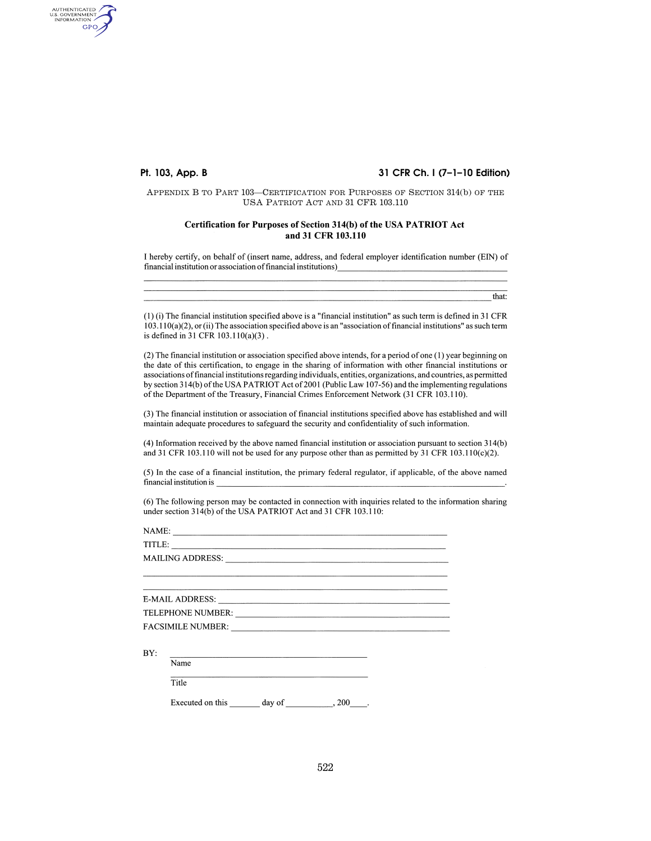# Pt. 103, App. B

authenticated<br>u.s. government<br>information<br>GPO

## 31 CFR Ch. I (7-1-10 Edition)

### APPENDIX B TO PART 103-CERTIFICATION FOR PURPOSES OF SECTION 314(b) OF THE USA PATRIOT ACT AND  $31$  CFR  $103.110\,$

### Certification for Purposes of Section 314(b) of the USA PATRIOT Act and 31 CFR 103.110

I hereby certify, on behalf of (insert name, address, and federal employer identification number (EIN) of financial institution or association of financial institutions)

|                                                                                                                                                                                                                                                                                                                                                                                                                                                                                                                                                             | that: |                                                                                                                                                                              |  |
|-------------------------------------------------------------------------------------------------------------------------------------------------------------------------------------------------------------------------------------------------------------------------------------------------------------------------------------------------------------------------------------------------------------------------------------------------------------------------------------------------------------------------------------------------------------|-------|------------------------------------------------------------------------------------------------------------------------------------------------------------------------------|--|
| (1) (i) The financial institution specified above is a "financial institution" as such term is defined in 31 CFR<br>$103.110(a)(2)$ , or (ii) The association specified above is an "association of financial institutions" as such term<br>is defined in $31$ CFR $103.110(a)(3)$ .                                                                                                                                                                                                                                                                        |       |                                                                                                                                                                              |  |
| (2) The financial institution or association specified above intends, for a period of one (1) year beginning on<br>the date of this certification, to engage in the sharing of information with other financial institutions or<br>associations of financial institutions regarding individuals, entities, organizations, and countries, as permitted<br>by section 314(b) of the USA PATRIOT Act of 2001 (Public Law 107-56) and the implementing regulations<br>of the Department of the Treasury, Financial Crimes Enforcement Network (31 CFR 103.110). |       |                                                                                                                                                                              |  |
| (3) The financial institution or association of financial institutions specified above has established and will<br>maintain adequate procedures to safeguard the security and confidentiality of such information.<br>(4) Information received by the above named financial institution or association pursuant to section 314(b)<br>and 31 CFR 103.110 will not be used for any purpose other than as permitted by 31 CFR 103.110(c)(2).<br>(5) In the case of a financial institution, the primary federal regulator, if applicable, of the above named   |       |                                                                                                                                                                              |  |
|                                                                                                                                                                                                                                                                                                                                                                                                                                                                                                                                                             |       | (6) The following person may be contacted in connection with inquiries related to the information sharing<br>under section 314(b) of the USA PATRIOT Act and 31 CFR 103.110: |  |
|                                                                                                                                                                                                                                                                                                                                                                                                                                                                                                                                                             |       |                                                                                                                                                                              |  |
|                                                                                                                                                                                                                                                                                                                                                                                                                                                                                                                                                             |       |                                                                                                                                                                              |  |
| MAILING ADDRESS: University of the AM ANDRESS:                                                                                                                                                                                                                                                                                                                                                                                                                                                                                                              |       |                                                                                                                                                                              |  |
|                                                                                                                                                                                                                                                                                                                                                                                                                                                                                                                                                             |       |                                                                                                                                                                              |  |
|                                                                                                                                                                                                                                                                                                                                                                                                                                                                                                                                                             |       |                                                                                                                                                                              |  |
|                                                                                                                                                                                                                                                                                                                                                                                                                                                                                                                                                             |       |                                                                                                                                                                              |  |
|                                                                                                                                                                                                                                                                                                                                                                                                                                                                                                                                                             |       |                                                                                                                                                                              |  |
| BY:                                                                                                                                                                                                                                                                                                                                                                                                                                                                                                                                                         |       |                                                                                                                                                                              |  |

Title

Executed on this  $\_\_\_\_$  day of  $\_\_\_\_$ , 200 $\_\_\_\_\$ .